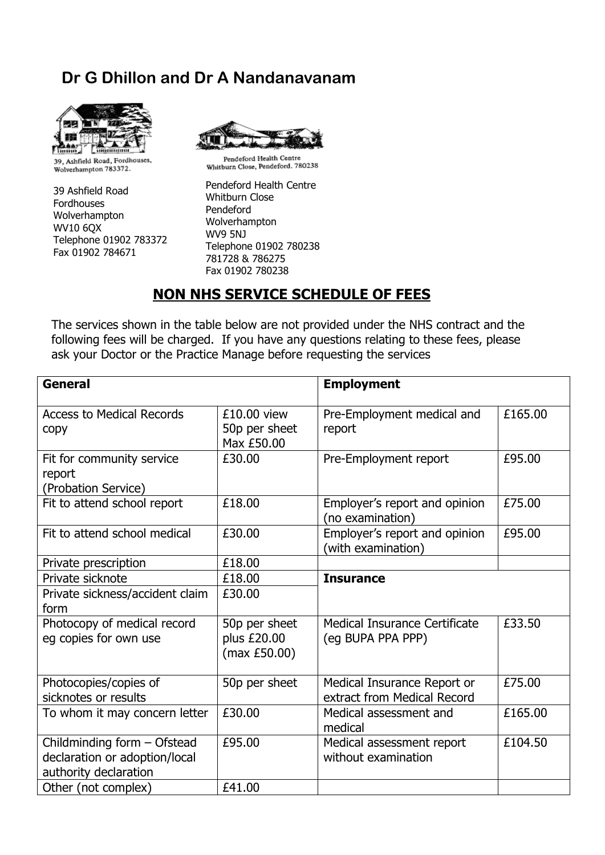## **Dr G Dhillon and Dr A Nandanavanam**



39, Ashfield Road, Fordhouses, Wolverhampton 783372.

39 Ashfield Road Fordhouses Wolverhampton WV10 6QX Telephone 01902 783372 Fax 01902 784671



Pendeford Health Centre Penderord Fream Conne<br>Whitburn Close, Pendeford. 780238

Pendeford Health Centre Whitburn Close Pendeford Wolverhampton WV9 5NJ Telephone 01902 780238 781728 & 786275 Fax 01902 780238

## **NON NHS SERVICE SCHEDULE OF FEES**

The services shown in the table below are not provided under the NHS contract and the following fees will be charged. If you have any questions relating to these fees, please ask your Doctor or the Practice Manage before requesting the services

| <b>General</b>                                                                        |                                              | <b>Employment</b>                                          |         |
|---------------------------------------------------------------------------------------|----------------------------------------------|------------------------------------------------------------|---------|
| <b>Access to Medical Records</b><br>copy                                              | £10.00 view<br>50p per sheet<br>Max £50.00   | Pre-Employment medical and<br>report                       | £165.00 |
| Fit for community service<br>report<br>(Probation Service)                            | £30.00                                       | Pre-Employment report                                      | £95.00  |
| Fit to attend school report                                                           | £18.00                                       | Employer's report and opinion<br>(no examination)          | £75.00  |
| Fit to attend school medical                                                          | £30.00                                       | Employer's report and opinion<br>(with examination)        | £95.00  |
| Private prescription                                                                  | £18.00                                       |                                                            |         |
| Private sicknote                                                                      | £18.00                                       | <b>Insurance</b>                                           |         |
| Private sickness/accident claim<br>form                                               | £30.00                                       |                                                            |         |
| Photocopy of medical record<br>eg copies for own use                                  | 50p per sheet<br>plus £20.00<br>(max E50.00) | Medical Insurance Certificate<br>(eg BUPA PPA PPP)         | £33.50  |
| Photocopies/copies of<br>sicknotes or results                                         | 50p per sheet                                | Medical Insurance Report or<br>extract from Medical Record | £75.00  |
| To whom it may concern letter                                                         | £30.00                                       | Medical assessment and<br>medical                          | £165.00 |
| Childminding form - Ofstead<br>declaration or adoption/local<br>authority declaration | £95.00                                       | Medical assessment report<br>without examination           | £104.50 |
| Other (not complex)                                                                   | £41.00                                       |                                                            |         |